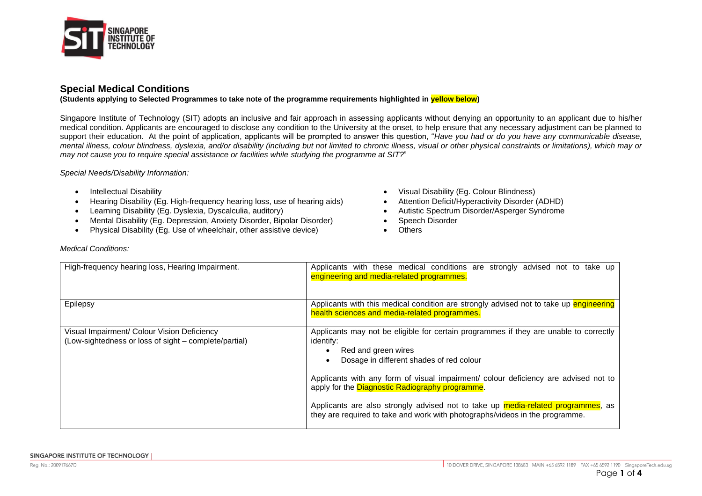

## **Special Medical Conditions**

**(Students applying to Selected Programmes to take note of the programme requirements highlighted in yellow below)**

Singapore Institute of Technology (SIT) adopts an inclusive and fair approach in assessing applicants without denying an opportunity to an applicant due to his/her medical condition. Applicants are encouraged to disclose any condition to the University at the onset, to help ensure that any necessary adjustment can be planned to support their education. At the point of application, applicants will be prompted to answer this question, "*Have you had or do you have any communicable disease*, *mental illness, colour blindness, dyslexia, and/or disability (including but not limited to chronic illness, visual or other physical constraints or limitations), which may or may not cause you to require special assistance or facilities while studying the programme at SIT?*"

*Special Needs/Disability Information:* 

- 
- Hearing Disability (Eg. High-frequency hearing loss, use of hearing aids) Attention Deficit/Hyperactivity Disorder (ADHD)
- Learning Disability (Eg. Dyslexia, Dyscalculia, auditory) **•** Autistic Spectrum Disorder/Asperger Syndrome
- Mental Disability (Eg. Depression, Anxiety Disorder, Bipolar Disorder) Speech Disorder
- Physical Disability (Eq. Use of wheelchair, other assistive device) Chers
- Intellectual Disability  **Intellectual Disability (Eq. Colour Blindness)** 
	-
	-
	-
	-

| High-frequency hearing loss, Hearing Impairment.                                                     | Applicants with these medical conditions are strongly advised not to take up<br>engineering and media-related programmes.                                                                       |
|------------------------------------------------------------------------------------------------------|-------------------------------------------------------------------------------------------------------------------------------------------------------------------------------------------------|
| Epilepsy                                                                                             | Applicants with this medical condition are strongly advised not to take up engineering<br>health sciences and media-related programmes.                                                         |
| Visual Impairment/ Colour Vision Deficiency<br>(Low-sightedness or loss of sight – complete/partial) | Applicants may not be eligible for certain programmes if they are unable to correctly<br>identify:<br>Red and green wires<br>$\bullet$<br>Dosage in different shades of red colour<br>$\bullet$ |
|                                                                                                      | Applicants with any form of visual impairment/ colour deficiency are advised not to<br>apply for the Diagnostic Radiography programme.                                                          |
|                                                                                                      | Applicants are also strongly advised not to take up media-related programmes, as<br>they are required to take and work with photographs/videos in the programme.                                |

#### *Medical Conditions:*

Rea. No.: 200917667D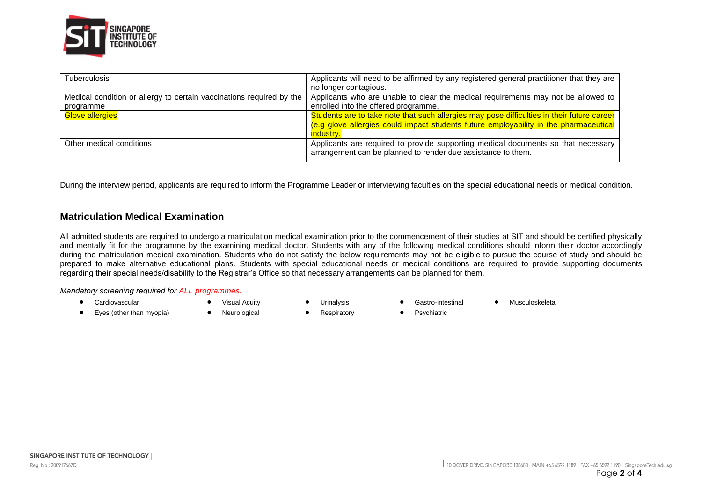

| <b>Tuberculosis</b>                                                  | Applicants will need to be affirmed by any registered general practitioner that they are   |
|----------------------------------------------------------------------|--------------------------------------------------------------------------------------------|
|                                                                      | no longer contagious.                                                                      |
| Medical condition or allergy to certain vaccinations required by the | Applicants who are unable to clear the medical requirements may not be allowed to          |
| programme                                                            | enrolled into the offered programme.                                                       |
| <b>Glove allergies</b>                                               | Students are to take note that such allergies may pose difficulties in their future career |
|                                                                      | (e.g glove allergies could impact students future employability in the pharmaceutical      |
|                                                                      | industry.                                                                                  |
| Other medical conditions                                             | Applicants are required to provide supporting medical documents so that necessary          |
|                                                                      | arrangement can be planned to render due assistance to them.                               |
|                                                                      |                                                                                            |

During the interview period, applicants are required to inform the Programme Leader or interviewing faculties on the special educational needs or medical condition.

# **Matriculation Medical Examination**

All admitted students are required to undergo a matriculation medical examination prior to the commencement of their studies at SIT and should be certified physically and mentally fit for the programme by the examining medical doctor. Students with any of the following medical conditions should inform their doctor accordingly during the matriculation medical examination. Students who do not satisfy the below requirements may not be eligible to pursue the course of study and should be prepared to make alternative educational plans. Students with special educational needs or medical conditions are required to provide supporting documents regarding their special needs/disability to the Registrar's Office so that necessary arrangements can be planned for them.

#### *Mandatory screening required for ALL programmes:*

- 
- 
- Cardiovascular • Visual Acuity Urinalysis Gastro-intestinal Musculoskeletal
- Eyes (other than myopia) Neurological Respiratory Psychiatric

SINGAPORE INSTITUTE OF TECHNOLOGY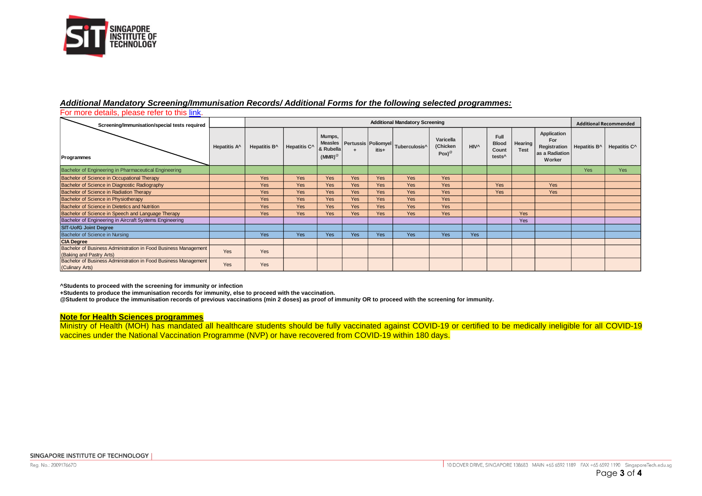

#### *Additional Mandatory Screening/Immunisation Records/ Additional Forms for the following selected programmes:*

For more details, please refer to thi[s link.](https://www.singaporetech.edu.sg/sites/default/files/Mandatory_Medical_Clearance.pdf)

| Screening/Immunisation/special tests required                                               |                          | <b>Additional Mandatory Screening</b> |                          |                                                    |            |            |                                               |                                   |                  |                                                     |                               |                                                                | <b>Additional Recommended</b> |                          |
|---------------------------------------------------------------------------------------------|--------------------------|---------------------------------------|--------------------------|----------------------------------------------------|------------|------------|-----------------------------------------------|-----------------------------------|------------------|-----------------------------------------------------|-------------------------------|----------------------------------------------------------------|-------------------------------|--------------------------|
| Programmes                                                                                  | Hepatitis A <sup>^</sup> | Hepatitis B <sup>^</sup>              | Hepatitis C <sup>^</sup> | Mumps,<br><b>Measles</b><br>& Rubella<br>$(MMR)^@$ | ÷          | itis+      | Pertussis Poliomyel Tuberculosis <sup>A</sup> | Varicella<br>(Chicken<br>$Pox)^@$ | HIV <sup>^</sup> | Full<br><b>Blood</b><br>Count<br>tests <sup>^</sup> | <b>Hearing</b><br><b>Test</b> | Application<br>For<br>Registration<br>as a Radiation<br>Worker | Hepatitis B <sup>^</sup>      | Hepatitis C <sup>^</sup> |
| Bachelor of Engineering in Pharmaceutical Engineering                                       |                          |                                       |                          |                                                    |            |            |                                               |                                   |                  |                                                     |                               |                                                                | <b>Yes</b>                    | Yes                      |
| Bachelor of Science in Occupational Therapy                                                 |                          | Yes                                   | Yes                      | Yes                                                | Yes        | <b>Yes</b> | <b>Yes</b>                                    | <b>Yes</b>                        |                  |                                                     |                               |                                                                |                               |                          |
| Bachelor of Science in Diagnostic Radiography                                               |                          | Yes                                   | Yes                      | Yes                                                | Yes        | <b>Yes</b> | Yes                                           | Yes                               |                  | Yes                                                 |                               | Yes                                                            |                               |                          |
| Bachelor of Science in Radiation Therapy                                                    |                          | Yes                                   | Yes                      | Yes                                                | Yes        | <b>Yes</b> | <b>Yes</b>                                    | <b>Yes</b>                        |                  | Yes                                                 |                               | Yes                                                            |                               |                          |
| Bachelor of Science in Physiotherapy                                                        |                          | Yes                                   | Yes                      | Yes                                                | <b>Yes</b> | <b>Yes</b> | <b>Yes</b>                                    | Yes                               |                  |                                                     |                               |                                                                |                               |                          |
| Bachelor of Science in Dietetics and Nutrition                                              |                          | Yes                                   | Yes                      | Yes                                                | <b>Yes</b> | Yes        | <b>Yes</b>                                    | Yes                               |                  |                                                     |                               |                                                                |                               |                          |
| Bachelor of Science in Speech and Language Therapy                                          |                          | <b>Yes</b>                            | <b>Yes</b>               | <b>Yes</b>                                         | <b>Yes</b> | Yes        | <b>Yes</b>                                    | <b>Yes</b>                        |                  |                                                     | <b>Yes</b>                    |                                                                |                               |                          |
| Bachelor of Engineering in Aircraft Systems Engineering                                     |                          |                                       |                          |                                                    |            |            |                                               |                                   |                  |                                                     | Yes                           |                                                                |                               |                          |
| <b>SIT-UofG Joint Degree</b>                                                                |                          |                                       |                          |                                                    |            |            |                                               |                                   |                  |                                                     |                               |                                                                |                               |                          |
| Bachelor of Science in Nursing                                                              |                          | Yes                                   | Yes                      | Yes                                                | <b>Yes</b> | Yes        | <b>Yes</b>                                    | Yes                               | Yes              |                                                     |                               |                                                                |                               |                          |
| <b>CIA Degree</b>                                                                           |                          |                                       |                          |                                                    |            |            |                                               |                                   |                  |                                                     |                               |                                                                |                               |                          |
| Bachelor of Business Administration in Food Business Management<br>(Baking and Pastry Arts) | Yes                      | Yes                                   |                          |                                                    |            |            |                                               |                                   |                  |                                                     |                               |                                                                |                               |                          |
| Bachelor of Business Administration in Food Business Management<br>(Culinary Arts)          | Yes                      | Yes                                   |                          |                                                    |            |            |                                               |                                   |                  |                                                     |                               |                                                                |                               |                          |

**^Students to proceed with the screening for immunity or infection**

**+Students to produce the immunisation records for immunity, else to proceed with the vaccination.**

**@Student to produce the immunisation records of previous vaccinations (min 2 doses) as proof of immunity OR to proceed with the screening for immunity.**

### **Note for Health Sciences programmes**

Ministry of Health (MOH) has mandated all healthcare students should be fully vaccinated against COVID-19 or certified to be medically ineligible for all COVID-19 vaccines under the National Vaccination Programme (NVP) or have recovered from COVID-19 within 180 days.